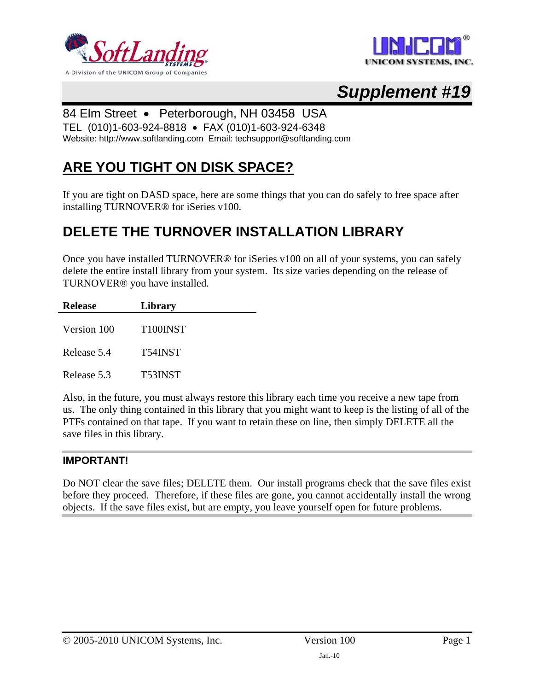



# *Supplement #19*

#### 84 Elm Street • Peterborough, NH 03458 USA

TEL (010)1-603-924-8818 • FAX (010)1-603-924-6348

Website: http://www.softlanding.com Email: techsupport@softlanding.com

### **ARE YOU TIGHT ON DISK SPACE?**

If you are tight on DASD space, here are some things that you can do safely to free space after installing TURNOVER® for iSeries v100.

### **DELETE THE TURNOVER INSTALLATION LIBRARY**

Once you have installed TURNOVER® for iSeries v100 on all of your systems, you can safely delete the entire install library from your system. Its size varies depending on the release of TURNOVER® you have installed.

| Release     | Library               |  |
|-------------|-----------------------|--|
| Version 100 | T <sub>100</sub> INST |  |
| Release 5.4 | T54INST               |  |
| Release 5.3 | <b>T53INST</b>        |  |

Also, in the future, you must always restore this library each time you receive a new tape from us. The only thing contained in this library that you might want to keep is the listing of all of the PTFs contained on that tape. If you want to retain these on line, then simply DELETE all the save files in this library.

#### **IMPORTANT!**

Do NOT clear the save files; DELETE them. Our install programs check that the save files exist before they proceed. Therefore, if these files are gone, you cannot accidentally install the wrong objects. If the save files exist, but are empty, you leave yourself open for future problems.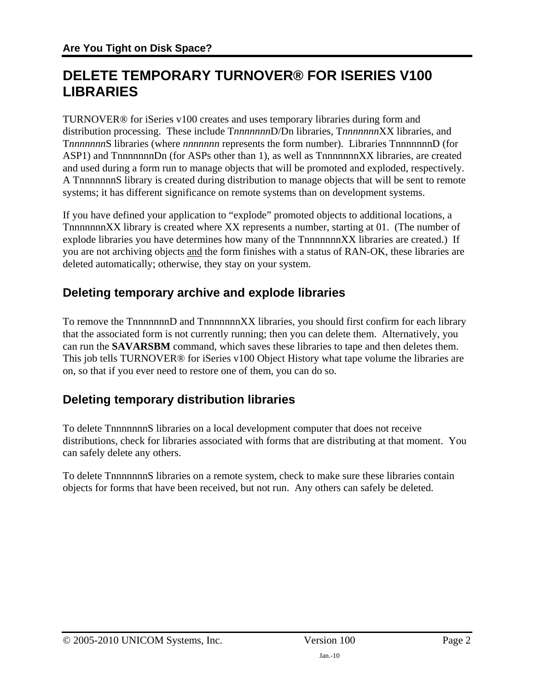### **DELETE TEMPORARY TURNOVER® FOR ISERIES V100 LIBRARIES**

TURNOVER® for iSeries v100 creates and uses temporary libraries during form and distribution processing. These include T*nnnnnnn*D/Dn libraries, T*nnnnnnn*XX libraries, and T*nnnnnnn*S libraries (where *nnnnnnn* represents the form number). Libraries TnnnnnnnD (for ASP1) and TnnnnnnnDn (for ASPs other than 1), as well as TnnnnnnnXX libraries, are created and used during a form run to manage objects that will be promoted and exploded, respectively. A TnnnnnnnS library is created during distribution to manage objects that will be sent to remote systems; it has different significance on remote systems than on development systems.

If you have defined your application to "explode" promoted objects to additional locations, a TnnnnnnnXX library is created where XX represents a number, starting at 01. (The number of explode libraries you have determines how many of the TnnnnnnnXX libraries are created.) If you are not archiving objects and the form finishes with a status of RAN-OK, these libraries are deleted automatically; otherwise, they stay on your system.

#### **Deleting temporary archive and explode libraries**

To remove the TnnnnnnnD and TnnnnnnnXX libraries, you should first confirm for each library that the associated form is not currently running; then you can delete them. Alternatively, you can run the **SAVARSBM** command, which saves these libraries to tape and then deletes them. This job tells TURNOVER® for iSeries v100 Object History what tape volume the libraries are on, so that if you ever need to restore one of them, you can do so.

### **Deleting temporary distribution libraries**

To delete TnnnnnnnS libraries on a local development computer that does not receive distributions, check for libraries associated with forms that are distributing at that moment. You can safely delete any others.

To delete TnnnnnnnS libraries on a remote system, check to make sure these libraries contain objects for forms that have been received, but not run. Any others can safely be deleted.